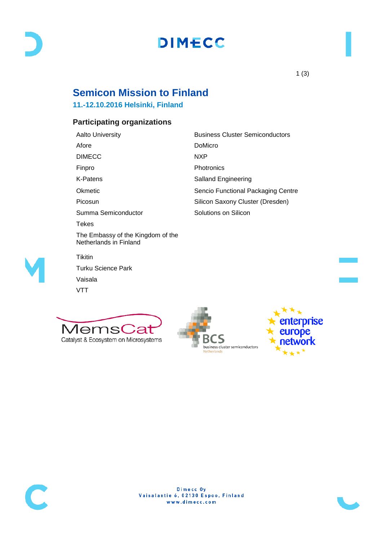# **DIMECC**

## **Semicon Mission to Finland**

### **11.-12.10.2016 Helsinki, Finland**

### **Participating organizations**

Afore DoMicro DIMECC NXP Finpro Photronics K-Patens **Salland Engineering** Picosun **Silicon Saxony Cluster (Dresden)** Summa Semiconductor Solutions on Silicon Tekes The Embassy of the Kingdom of the Netherlands in Finland **Tikitin** Turku Science Park Vaisala VTT

Aalto University **Business Cluster Semiconductors** Okmetic **Sencio Functional Packaging Centre** Sencio Functional Packaging Centre









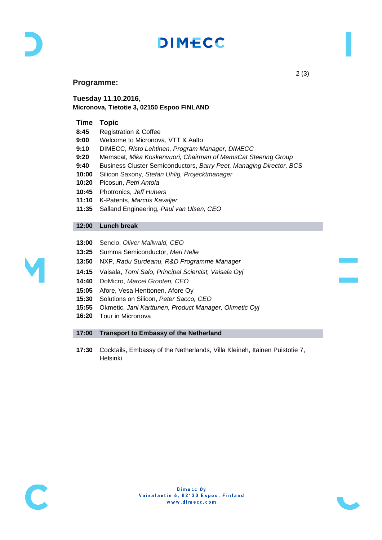

# **DIMECC**

#### **Programme:**

**Tuesday 11.10.2016, Micronova, Tietotie 3, 02150 Espoo FINLAND**

#### **Time Topic**

| 8:45  | <b>Registration &amp; Coffee</b>                                    |
|-------|---------------------------------------------------------------------|
| 9:00  | Welcome to Micronova, VTT & Aalto                                   |
| 9:10  | DIMECC, Risto Lehtinen, Program Manager, DIMECC                     |
| 9:20  | Memscat, Mika Koskenvuori, Chairman of MemsCat Steering Group       |
| 9:40  | Business Cluster Semiconductors, Barry Peet, Managing Director, BCS |
| 10:00 | Silicon Saxony, Stefan Uhlig, Projecktmanager                       |
| 10:20 | Picosun, Petri Antola                                               |
| 10:45 | Photronics, Jeff Hubers                                             |
| 11:10 | K-Patents, Marcus Kavaljer                                          |
| 11:35 | Salland Engineering, Paul van Ulsen, CEO                            |
|       |                                                                     |
| 12:00 | Lunch break                                                         |
|       |                                                                     |
| 13:00 | Sencio, Oliver Mailwald, CEO                                        |
| 13:25 | Summa Semiconductor, Meri Helle                                     |

- **13:25** Summa Semiconductor, *Meri Helle*
- **13:50** NXP, *Radu Surdeanu, R&D Programme Manager*
- **14:15** Vaisala, *Tomi Salo, Principal Scientist, Vaisala Oyj*
- **14:40** DoMicro, *Marcel Grooten, CEO*
- **15:05** Afore, Vesa Henttonen, Afore Oy
- **15:30** Solutions on Silicon, *Peter Sacco, CEO*
- **15:55** Okmetic, *Jani Karttunen, Product Manager, Okmetic Oyj*
- **16:20** Tour in Micronova

#### **17:00 Transport to Embassy of the Netherland**

**17:30** Cocktails, Embassy of the Netherlands, Villa Kleineh, Itäinen Puistotie 7, Helsinki





2 (3)